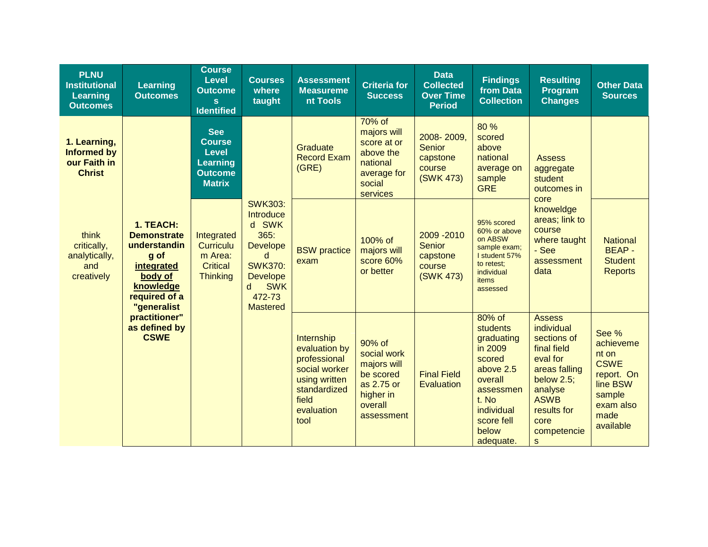| <b>PLNU</b><br><b>Institutional</b><br><b>Learning</b><br><b>Outcomes</b> | Learning<br><b>Outcomes</b>                                                                                                                                                    | <b>Course</b><br><b>Level</b><br><b>Outcome</b><br>S.<br><b>Identified</b>                        | <b>Courses</b><br>where<br>taught                                                                                                                         | <b>Assessment</b><br><b>Measureme</b><br>nt Tools                                                                            | <b>Criteria for</b><br><b>Success</b>                                                                 | <b>Data</b><br><b>Collected</b><br><b>Over Time</b><br><b>Period</b> | <b>Findings</b><br>from Data<br><b>Collection</b>                                                                                                            | <b>Resulting</b><br>Program<br><b>Changes</b>                                                                                                                                | <b>Other Data</b><br><b>Sources</b>                                                                              |
|---------------------------------------------------------------------------|--------------------------------------------------------------------------------------------------------------------------------------------------------------------------------|---------------------------------------------------------------------------------------------------|-----------------------------------------------------------------------------------------------------------------------------------------------------------|------------------------------------------------------------------------------------------------------------------------------|-------------------------------------------------------------------------------------------------------|----------------------------------------------------------------------|--------------------------------------------------------------------------------------------------------------------------------------------------------------|------------------------------------------------------------------------------------------------------------------------------------------------------------------------------|------------------------------------------------------------------------------------------------------------------|
| 1. Learning,<br><b>Informed by</b><br>our Faith in<br><b>Christ</b>       | 1. TEACH:<br><b>Demonstrate</b><br>understandin<br>g of<br>integrated<br>body of<br>knowledge<br>required of a<br>"generalist<br>practitioner"<br>as defined by<br><b>CSWE</b> | <b>See</b><br><b>Course</b><br><b>Level</b><br><b>Learning</b><br><b>Outcome</b><br><b>Matrix</b> | <b>SWK303:</b><br>Introduce<br>d SWK<br>365:<br><b>Develope</b><br>d<br><b>SWK370:</b><br><b>Develope</b><br><b>SWK</b><br>d<br>472-73<br><b>Mastered</b> | Graduate<br><b>Record Exam</b><br>(GRE)                                                                                      | 70% of<br>majors will<br>score at or<br>above the<br>national<br>average for<br>social<br>services    | 2008-2009.<br><b>Senior</b><br>capstone<br>course<br>(SWK 473)       | 80 %<br>scored<br>above<br>national<br>average on<br>sample<br><b>GRE</b>                                                                                    | <b>Assess</b><br>aggregate<br>student<br>outcomes in<br>core<br>knoweldge<br>areas; link to<br>course<br>where taught<br>- See<br>assessment<br>data                         |                                                                                                                  |
| think<br>critically,<br>analytically,<br>and<br>creatively                |                                                                                                                                                                                | Integrated<br><b>Curriculu</b><br>m Area:<br><b>Critical</b><br><b>Thinking</b>                   |                                                                                                                                                           | <b>BSW</b> practice<br>exam                                                                                                  | 100% of<br>majors will<br>score 60%<br>or better                                                      | 2009 - 2010<br><b>Senior</b><br>capstone<br>course<br>(SWK 473)      | 95% scored<br>60% or above<br>on ABSW<br>sample exam;<br>I student 57%<br>to retest;<br>individual<br>items<br>assessed                                      |                                                                                                                                                                              | <b>National</b><br><b>BEAP-</b><br><b>Student</b><br><b>Reports</b>                                              |
|                                                                           |                                                                                                                                                                                |                                                                                                   |                                                                                                                                                           | Internship<br>evaluation by<br>professional<br>social worker<br>using written<br>standardized<br>field<br>evaluation<br>tool | 90% of<br>social work<br>majors will<br>be scored<br>as 2.75 or<br>higher in<br>overall<br>assessment | <b>Final Field</b><br><b>Evaluation</b>                              | 80% of<br><b>students</b><br>graduating<br>in 2009<br>scored<br>above 2.5<br>overall<br>assessmen<br>t. No<br>individual<br>score fell<br>below<br>adequate. | <b>Assess</b><br>individual<br>sections of<br>final field<br>eval for<br>areas falling<br>below $2.5$ ;<br>analyse<br><b>ASWB</b><br>results for<br>core<br>competencie<br>S | See %<br>achieveme<br>nt on<br><b>CSWE</b><br>report. On<br>line BSW<br>sample<br>exam also<br>made<br>available |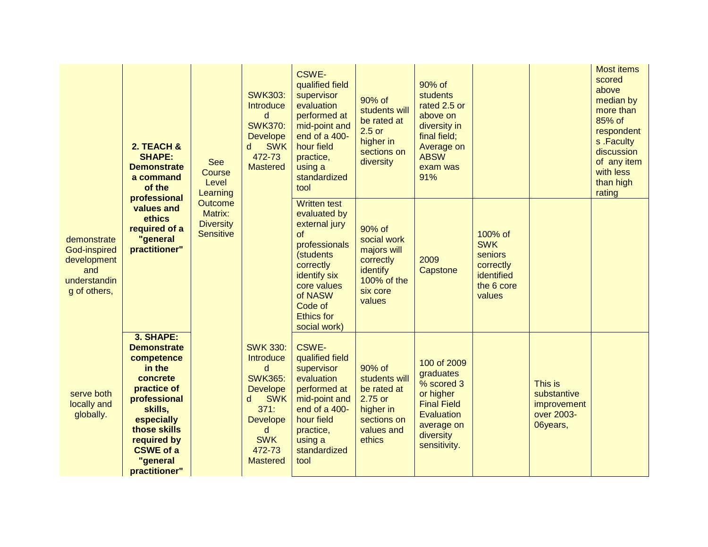|  | 2. TEACH &<br><b>SHAPE:</b><br><b>Demonstrate</b><br>a command<br>of the          | <b>See</b><br>Course<br>Level<br>Learning                                                                                                                                                                   | <b>SWK303:</b><br>Introduce<br>d<br><b>SWK370:</b><br><b>Develope</b><br><b>SWK</b><br>d<br>472-73<br><b>Mastered</b> | CSWE-<br>qualified field<br>supervisor<br>evaluation<br>performed at<br>mid-point and<br>end of a 400-<br>hour field<br>practice,<br>using a<br>standardized<br>tool | 90% of<br>students will<br>be rated at<br>$2.5$ or<br>higher in<br>sections on<br>diversity                                                                                                     | 90% of<br>students<br>rated 2.5 or<br>above on<br>diversity in<br>final field;<br>Average on<br><b>ABSW</b><br>exam was<br>91% |                                                                                                                                    |                                                                                     | <b>Most items</b><br>scored<br>above<br>median by<br>more than<br>85% of<br>respondent<br>s.Faculty<br>discussion<br>of any item<br>with less<br>than high<br>rating |  |
|--|-----------------------------------------------------------------------------------|-------------------------------------------------------------------------------------------------------------------------------------------------------------------------------------------------------------|-----------------------------------------------------------------------------------------------------------------------|----------------------------------------------------------------------------------------------------------------------------------------------------------------------|-------------------------------------------------------------------------------------------------------------------------------------------------------------------------------------------------|--------------------------------------------------------------------------------------------------------------------------------|------------------------------------------------------------------------------------------------------------------------------------|-------------------------------------------------------------------------------------|----------------------------------------------------------------------------------------------------------------------------------------------------------------------|--|
|  | demonstrate<br>God-inspired<br>development<br>and<br>understandin<br>g of others, | professional<br>values and<br>ethics<br>required of a<br>"general<br>practitioner"                                                                                                                          | Outcome<br>Matrix:<br><b>Diversity</b><br><b>Sensitive</b>                                                            |                                                                                                                                                                      | <b>Written test</b><br>evaluated by<br>external jury<br>of<br>professionals<br>(students<br>correctly<br>identify six<br>core values<br>of NASW<br>Code of<br><b>Ethics for</b><br>social work) | 90% of<br>social work<br>majors will<br>correctly<br>identify<br>100% of the<br>six core<br>values                             | 2009<br>Capstone                                                                                                                   | 100% of<br><b>SWK</b><br>seniors<br>correctly<br>identified<br>the 6 core<br>values |                                                                                                                                                                      |  |
|  | serve both<br>locally and<br>globally.                                            | 3. SHAPE:<br><b>Demonstrate</b><br>competence<br>in the<br>concrete<br>practice of<br>professional<br>skills,<br>especially<br>those skills<br>required by<br><b>CSWE of a</b><br>"general<br>practitioner" |                                                                                                                       | <b>SWK 330:</b><br>Introduce<br>d<br><b>SWK365:</b><br><b>Develope</b><br><b>SWK</b><br>d<br>371:<br><b>Develope</b><br>d<br><b>SWK</b><br>472-73<br><b>Mastered</b> | <b>CSWE-</b><br>qualified field<br>supervisor<br>evaluation<br>performed at<br>mid-point and<br>end of a 400-<br>hour field<br>practice,<br>using a<br>standardized<br>tool                     | 90% of<br>students will<br>be rated at<br>2.75 or<br>higher in<br>sections on<br>values and<br>ethics                          | 100 of 2009<br>graduates<br>% scored 3<br>or higher<br><b>Final Field</b><br>Evaluation<br>average on<br>diversity<br>sensitivity. |                                                                                     | This is<br>substantive<br>improvement<br>over 2003-<br>06years,                                                                                                      |  |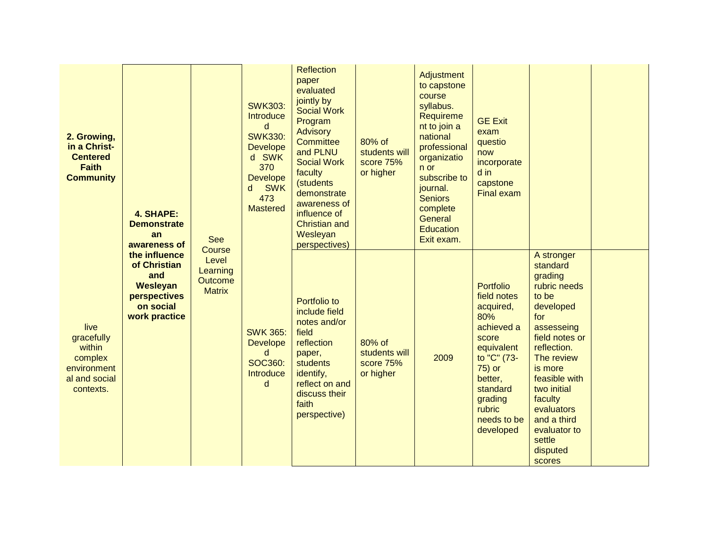| 2. Growing,<br>in a Christ-<br><b>Centered</b><br><b>Faith</b><br><b>Community</b>   | 4. SHAPE:<br><b>Demonstrate</b><br>an<br>awareness of                                                 | <b>See</b>                                                     | <b>SWK303:</b><br>Introduce<br>d<br><b>SWK330:</b><br><b>Develope</b><br>d SWK<br>370<br><b>Develope</b><br><b>SWK</b><br>d<br>473<br><b>Mastered</b> | <b>Reflection</b><br>paper<br>evaluated<br>jointly by<br><b>Social Work</b><br>Program<br><b>Advisory</b><br>Committee<br>and PLNU<br><b>Social Work</b><br>faculty<br>(students<br>demonstrate<br>awareness of<br>influence of<br><b>Christian and</b><br>Wesleyan<br>perspectives) | 80% of<br>students will<br>score 75%<br>or higher | Adjustment<br>to capstone<br>course<br>syllabus.<br>Requireme<br>nt to join a<br>national<br>professional<br>organizatio<br>n or<br>subscribe to<br>journal.<br><b>Seniors</b><br>complete<br>General<br><b>Education</b><br>Exit exam. | <b>GE Exit</b><br>exam<br>questio<br>now<br>incorporate<br>$d$ in<br>capstone<br><b>Final exam</b>                                                                                        |                                                                                                                                                                                                                                                                                |  |
|--------------------------------------------------------------------------------------|-------------------------------------------------------------------------------------------------------|----------------------------------------------------------------|-------------------------------------------------------------------------------------------------------------------------------------------------------|--------------------------------------------------------------------------------------------------------------------------------------------------------------------------------------------------------------------------------------------------------------------------------------|---------------------------------------------------|-----------------------------------------------------------------------------------------------------------------------------------------------------------------------------------------------------------------------------------------|-------------------------------------------------------------------------------------------------------------------------------------------------------------------------------------------|--------------------------------------------------------------------------------------------------------------------------------------------------------------------------------------------------------------------------------------------------------------------------------|--|
| live<br>gracefully<br>within<br>complex<br>environment<br>al and social<br>contexts. | the influence<br>of Christian<br>and<br><b>Wesleyan</b><br>perspectives<br>on social<br>work practice | Course<br>Level<br>Learning<br><b>Outcome</b><br><b>Matrix</b> | <b>SWK 365:</b><br><b>Develope</b><br>d<br>SOC360:<br>Introduce<br>d                                                                                  | Portfolio to<br>include field<br>notes and/or<br>field<br>reflection<br>paper,<br><b>students</b><br>identify,<br>reflect on and<br>discuss their<br>faith<br>perspective)                                                                                                           | 80% of<br>students will<br>score 75%<br>or higher | 2009                                                                                                                                                                                                                                    | <b>Portfolio</b><br>field notes<br>acquired,<br>80%<br>achieved a<br>score<br>equivalent<br>to "C" (73-<br>75) or<br>better,<br>standard<br>grading<br>rubric<br>needs to be<br>developed | A stronger<br>standard<br>grading<br>rubric needs<br>to be<br>developed<br>for<br>assesseing<br>field notes or<br>reflection.<br>The review<br>is more<br>feasible with<br>two initial<br>faculty<br>evaluators<br>and a third<br>evaluator to<br>settle<br>disputed<br>scores |  |